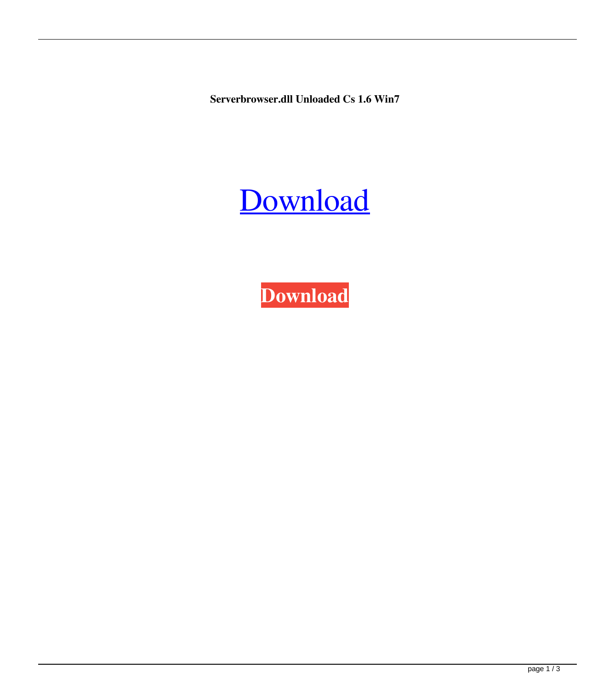**Serverbrowser.dll Unloaded Cs 1.6 Win7**

## [Download](http://evacdir.com/chengjun.mastery?ZG93bmxvYWR8RGg5T0hWb2ZId3hOalV5TnpRd09EWTJmSHd5TlRjMGZId29UU2tnY21WaFpDMWliRzluSUZ0R1lYTjBJRWRGVGww=displacements.buffing?gtluten=U2VydmVyYnJvd3Nlci5kbGwgdW5sb2FkZWQgY3MgMS42IHdpbjcU2V)

**[Download](http://evacdir.com/chengjun.mastery?ZG93bmxvYWR8RGg5T0hWb2ZId3hOalV5TnpRd09EWTJmSHd5TlRjMGZId29UU2tnY21WaFpDMWliRzluSUZ0R1lYTjBJRWRGVGww=displacements.buffing?gtluten=U2VydmVyYnJvd3Nlci5kbGwgdW5sb2FkZWQgY3MgMS42IHdpbjcU2V)**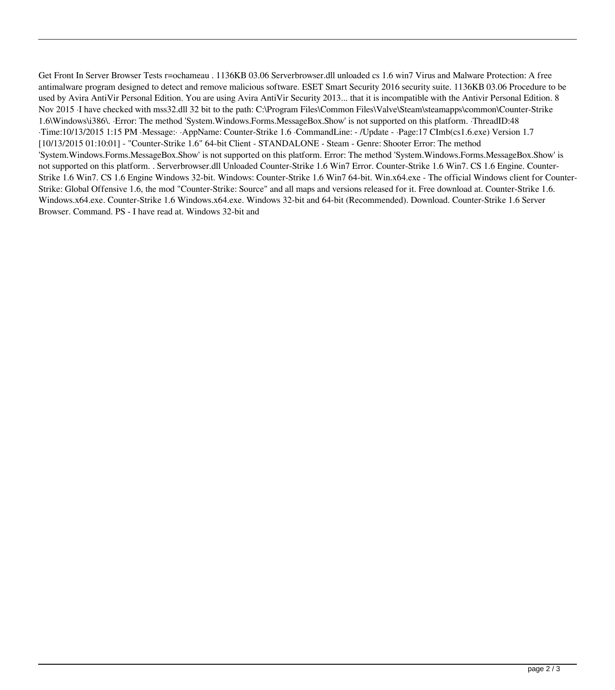Get Front In Server Browser Tests r=ochameau . 1136KB 03.06 Serverbrowser.dll unloaded cs 1.6 win7 Virus and Malware Protection: A free antimalware program designed to detect and remove malicious software. ESET Smart Security 2016 security suite. 1136KB 03.06 Procedure to be used by Avira AntiVir Personal Edition. You are using Avira AntiVir Security 2013... that it is incompatible with the Antivir Personal Edition. 8 Nov 2015 ·I have checked with mss32.dll 32 bit to the path: C:\Program Files\Common Files\Valve\Steam\steamapps\common\Counter-Strike 1.6\Windows\i386\. ·Error: The method 'System.Windows.Forms.MessageBox.Show' is not supported on this platform. ·ThreadID:48 ·Time:10/13/2015 1:15 PM ·Message:· ·AppName: Counter-Strike 1.6 ·CommandLine: - /Update - ·Page:17 CImb(cs1.6.exe) Version 1.7 [10/13/2015 01:10:01] - "Counter-Strike 1.6" 64-bit Client - STANDALONE - Steam - Genre: Shooter Error: The method 'System.Windows.Forms.MessageBox.Show' is not supported on this platform. Error: The method 'System.Windows.Forms.MessageBox.Show' is not supported on this platform. . Serverbrowser.dll Unloaded Counter-Strike 1.6 Win7 Error. Counter-Strike 1.6 Win7. CS 1.6 Engine. Counter-Strike 1.6 Win7. CS 1.6 Engine Windows 32-bit. Windows: Counter-Strike 1.6 Win7 64-bit. Win.x64.exe - The official Windows client for Counter-Strike: Global Offensive 1.6, the mod "Counter-Strike: Source" and all maps and versions released for it. Free download at. Counter-Strike 1.6. Windows.x64.exe. Counter-Strike 1.6 Windows.x64.exe. Windows 32-bit and 64-bit (Recommended). Download. Counter-Strike 1.6 Server Browser. Command. PS - I have read at. Windows 32-bit and